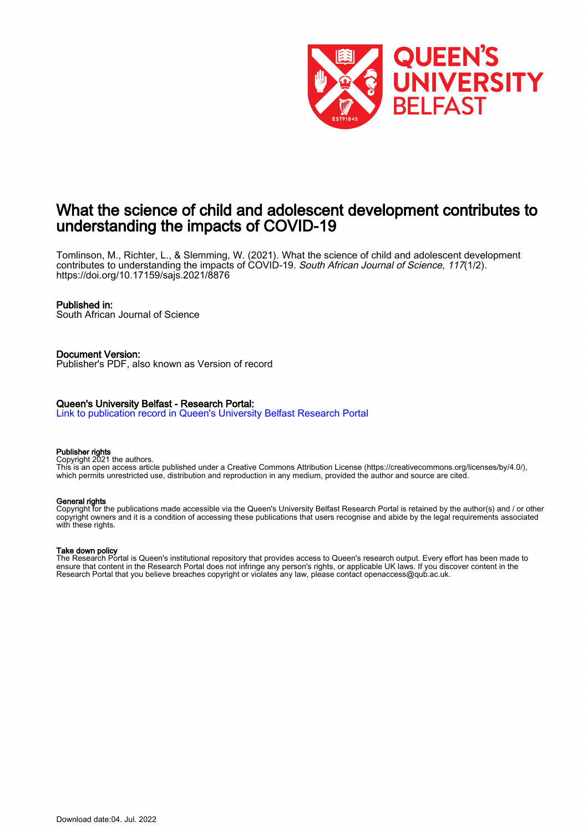

# What the science of child and adolescent development contributes to understanding the impacts of COVID-19

Tomlinson, M., Richter, L., & Slemming, W. (2021). What the science of child and adolescent development contributes to understanding the impacts of COVID-19. South African Journal of Science, 117(1/2). <https://doi.org/10.17159/sajs.2021/8876>

# Published in:

South African Journal of Science

Document Version: Publisher's PDF, also known as Version of record

# Queen's University Belfast - Research Portal:

[Link to publication record in Queen's University Belfast Research Portal](https://pure.qub.ac.uk/en/publications/d944e55c-5e3d-4a3f-8e6f-d3e8c0970053)

### Publisher rights

Copyright 2021 the authors.

This is an open access article published under a Creative Commons Attribution License (https://creativecommons.org/licenses/by/4.0/), which permits unrestricted use, distribution and reproduction in any medium, provided the author and source are cited.

## General rights

Copyright for the publications made accessible via the Queen's University Belfast Research Portal is retained by the author(s) and / or other copyright owners and it is a condition of accessing these publications that users recognise and abide by the legal requirements associated with these rights.

### Take down policy

The Research Portal is Queen's institutional repository that provides access to Queen's research output. Every effort has been made to ensure that content in the Research Portal does not infringe any person's rights, or applicable UK laws. If you discover content in the Research Portal that you believe breaches copyright or violates any law, please contact openaccess@qub.ac.uk.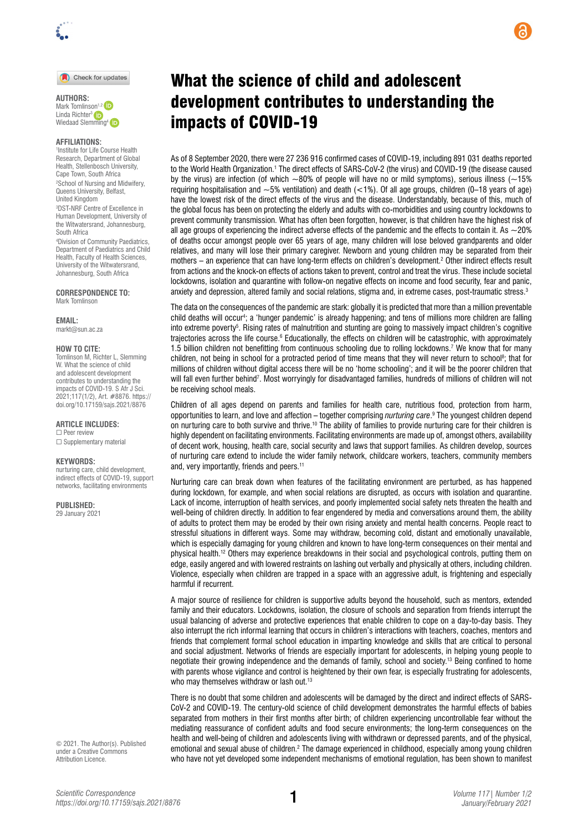

Check for updates

**AUTHORS:**  Mark Tomlinson<sup>1,2</sup> Linda Richter<sup>3</sup> Wiedaad Sle[mming](http://orcid.org/0000-0002-3654-3192)<sup>4</sup> in

#### **AFFILIATIONS:**

1 Institute for Life Course Health Research, Department of Global Health, Stellenbosch University, Cape Town, South Africa 2 School of Nursing and Midwifery, Queens University, Belfast, United Kingdom

3 DST-NRF Centre of Excellence in Human Development, University of the Witwatersrand, Johannesburg, South Africa

4 Division of Community Paediatrics, Department of Paediatrics and Child Health, Faculty of Health Sciences, University of the Witwatersrand, Johannesburg, South Africa

**CORRESPONDENCE TO:**  Mark Tomlinson

**EMAIL:** 

[markt@sun.ac.za](mailto:markt@sun.ac.za)

#### **HOW TO CITE:**

Tomlinson M, Richter L, Slemming W. What the science of child and adolescent development contributes to understanding the impacts of COVID-19. S Afr J Sci. 2021;117(1/2), Art. #8876. [https://](https://doi.org/10.17159/sajs.2021/8876) [doi.org/10.17159/sajs.2021/8876](https://doi.org/10.17159/sajs.2021/8876)

**ARTICLE INCLUDES:** ☐ Peer review

□ Supplementary material

#### **KEYWORDS:**

nurturing care, child development, indirect effects of COVID-19, support networks, facilitating environments

**PUBLISHED:** 

29 January 2021

© 2021. The Author(s). Published under a [Creative Commons](https://creativecommons.org/licenses/by/4.0/)  [Attribution Licence](https://creativecommons.org/licenses/by/4.0/).

# What the science of child and adolescent development contributes to understanding the impacts of COVID-19

As of 8 September 2020, there were 27 236 916 confirmed cases of COVID-19, including 891 031 deaths reported to the World Health Organization.<sup>1</sup> The direct effects of SARS-CoV-2 (the virus) and COVID-19 (the disease caused by the virus) are infection (of which  $\sim$ 80% of people will have no or mild symptoms), serious illness ( $\sim$ 15% requiring hospitalisation and ~5% ventilation) and death (<1%). Of all age groups, children (0–18 years of age) have the lowest risk of the direct effects of the virus and the disease. Understandably, because of this, much of the global focus has been on protecting the elderly and adults with co-morbidities and using country lockdowns to prevent community transmission. What has often been forgotten, however, is that children have the highest risk of all age groups of experiencing the indirect adverse effects of the pandemic and the effects to contain it. As  $\sim$ 20% of deaths occur amongst people over 65 years of age, many children will lose beloved grandparents and older relatives, and many will lose their primary caregiver. Newborn and young children may be separated from their mothers – an experience that can have long-term effects on children's development.2 Other indirect effects result from actions and the knock-on effects of actions taken to prevent, control and treat the virus. These include societal lockdowns, isolation and quarantine with follow-on negative effects on income and food security, fear and panic, anxiety and depression, altered family and social relations, stigma and, in extreme cases, post-traumatic stress.3

The data on the consequences of the pandemic are stark: globally it is predicted that more than a million preventable child deaths will occur4 ; a 'hunger pandemic' is already happening; and tens of millions more children are falling into extreme poverty<sup>s</sup>. Rising rates of malnutrition and stunting are going to massively impact children's cognitive trajectories across the life course.<sup>6</sup> Educationally, the effects on children will be catastrophic, with approximately 1.5 billion children not benefitting from continuous schooling due to rolling lockdowns.7 We know that for many children, not being in school for a protracted period of time means that they will never return to school<sup>8</sup>; that for millions of children without digital access there will be no 'home schooling'; and it will be the poorer children that will fall even further behind<sup>7</sup>. Most worryingly for disadvantaged families, hundreds of millions of children will not be receiving school meals.

Children of all ages depend on parents and families for health care, nutritious food, protection from harm, opportunities to learn, and love and affection – together comprising *nurturing care*. 9 The youngest children depend on nurturing care to both survive and thrive.<sup>10</sup> The ability of families to provide nurturing care for their children is highly dependent on facilitating environments. Facilitating environments are made up of, amongst others, availability of decent work, housing, health care, social security and laws that support families. As children develop, sources of nurturing care extend to include the wider family network, childcare workers, teachers, community members and, very importantly, friends and peers.<sup>11</sup>

Nurturing care can break down when features of the facilitating environment are perturbed, as has happened during lockdown, for example, and when social relations are disrupted, as occurs with isolation and quarantine. Lack of income, interruption of health services, and poorly implemented social safety nets threaten the health and well-being of children directly. In addition to fear engendered by media and conversations around them, the ability of adults to protect them may be eroded by their own rising anxiety and mental health concerns. People react to stressful situations in different ways. Some may withdraw, becoming cold, distant and emotionally unavailable, which is especially damaging for young children and known to have long-term consequences on their mental and physical health.12 Others may experience breakdowns in their social and psychological controls, putting them on edge, easily angered and with lowered restraints on lashing out verbally and physically at others, including children. Violence, especially when children are trapped in a space with an aggressive adult, is frightening and especially harmful if recurrent.

A major source of resilience for children is supportive adults beyond the household, such as mentors, extended family and their educators. Lockdowns, isolation, the closure of schools and separation from friends interrupt the usual balancing of adverse and protective experiences that enable children to cope on a day-to-day basis. They also interrupt the rich informal learning that occurs in children's interactions with teachers, coaches, mentors and friends that complement formal school education in imparting knowledge and skills that are critical to personal and social adjustment. Networks of friends are especially important for adolescents, in helping young people to negotiate their growing independence and the demands of family, school and society.13 Being confined to home with parents whose vigilance and control is heightened by their own fear, is especially frustrating for adolescents, who may themselves withdraw or lash out.<sup>13</sup>

There is no doubt that some children and adolescents will be damaged by the direct and indirect effects of SARS-CoV-2 and COVID-19. The century-old science of child development demonstrates the harmful effects of babies separated from mothers in their first months after birth; of children experiencing uncontrollable fear without the mediating reassurance of confident adults and food secure environments; the long-term consequences on the health and well-being of children and adolescents living with withdrawn or depressed parents, and of the physical, emotional and sexual abuse of children.<sup>2</sup> The damage experienced in childhood, especially among young children who have not yet developed some independent mechanisms of emotional regulation, has been shown to manifest